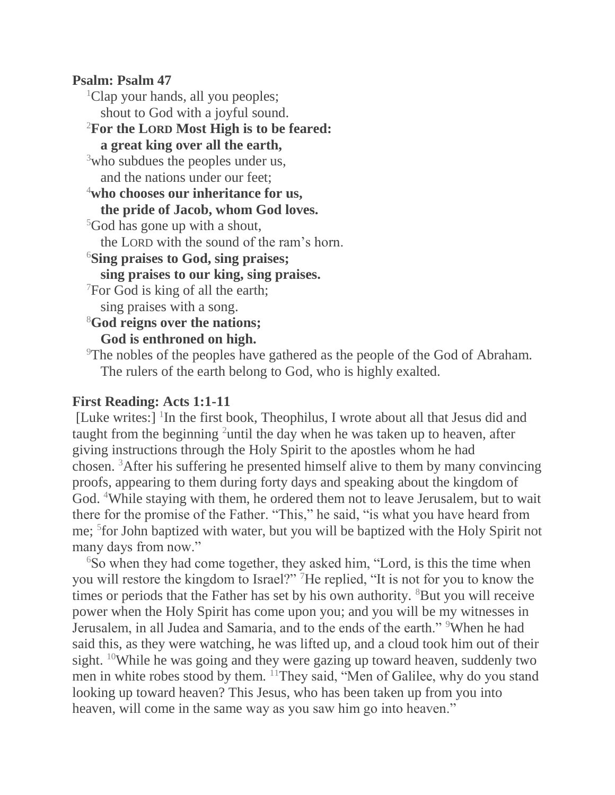#### **Psalm: Psalm 47**

<sup>1</sup>Clap your hands, all you peoples; shout to God with a joyful sound. <sup>2</sup>**For the LORD Most High is to be feared: a great king over all the earth,** <sup>3</sup>who subdues the peoples under us, and the nations under our feet; <sup>4</sup>**who chooses our inheritance for us, the pride of Jacob, whom God loves.** <sup>5</sup>God has gone up with a shout, the LORD with the sound of the ram's horn. <sup>6</sup>**Sing praises to God, sing praises; sing praises to our king, sing praises.** <sup>7</sup>For God is king of all the earth; sing praises with a song. <sup>8</sup>**God reigns over the nations; God is enthroned on high.** <sup>9</sup>The nobles of the peoples have gathered as the people of the God of Abraham. The rulers of the earth belong to God, who is highly exalted.

### **First Reading: Acts 1:1-11**

[Luke writes:] <sup>1</sup>In the first book, Theophilus, I wrote about all that Jesus did and taught from the beginning <sup>2</sup>until the day when he was taken up to heaven, after giving instructions through the Holy Spirit to the apostles whom he had chosen. <sup>3</sup>After his suffering he presented himself alive to them by many convincing proofs, appearing to them during forty days and speaking about the kingdom of God. <sup>4</sup>While staying with them, he ordered them not to leave Jerusalem, but to wait there for the promise of the Father. "This," he said, "is what you have heard from me; <sup>5</sup> for John baptized with water, but you will be baptized with the Holy Spirit not many days from now."

<sup>6</sup>So when they had come together, they asked him, "Lord, is this the time when you will restore the kingdom to Israel?" <sup>7</sup>He replied, "It is not for you to know the times or periods that the Father has set by his own authority. <sup>8</sup>But you will receive power when the Holy Spirit has come upon you; and you will be my witnesses in Jerusalem, in all Judea and Samaria, and to the ends of the earth." <sup>9</sup>When he had said this, as they were watching, he was lifted up, and a cloud took him out of their sight. <sup>10</sup>While he was going and they were gazing up toward heaven, suddenly two men in white robes stood by them. <sup>11</sup>They said, "Men of Galilee, why do you stand looking up toward heaven? This Jesus, who has been taken up from you into heaven, will come in the same way as you saw him go into heaven."